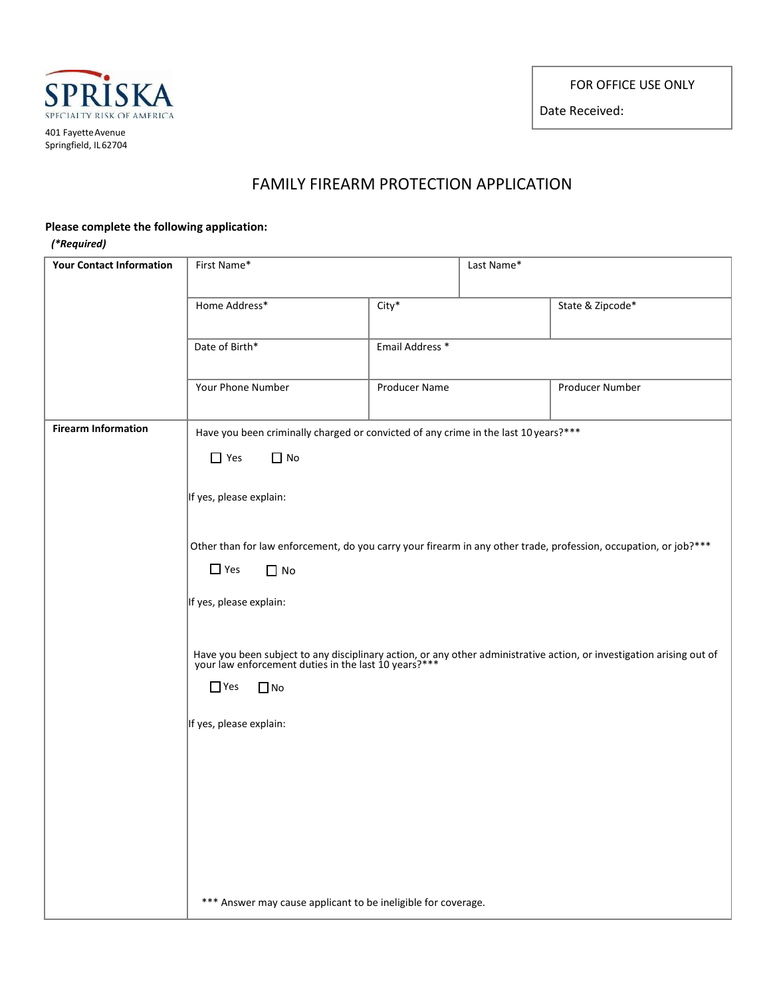FOR OFFICE USE ONLY

Date Received:



## FAMILY FIREARM PROTECTION APPLICATION

## **Please complete the following application:**

## *(\*Required)*

| <b>Your Contact Information</b> | First Name*                                                                                                                                                                                           |                                                                                     | Last Name* |                  |  |
|---------------------------------|-------------------------------------------------------------------------------------------------------------------------------------------------------------------------------------------------------|-------------------------------------------------------------------------------------|------------|------------------|--|
|                                 |                                                                                                                                                                                                       |                                                                                     |            |                  |  |
|                                 | Home Address*                                                                                                                                                                                         | $City^*$                                                                            |            | State & Zipcode* |  |
|                                 | Date of Birth*                                                                                                                                                                                        | Email Address *                                                                     |            |                  |  |
|                                 | Your Phone Number                                                                                                                                                                                     | <b>Producer Name</b>                                                                |            | Producer Number  |  |
| <b>Firearm Information</b>      |                                                                                                                                                                                                       | Have you been criminally charged or convicted of any crime in the last 10 years?*** |            |                  |  |
|                                 | $\Box$ Yes<br>$\Box$ No                                                                                                                                                                               |                                                                                     |            |                  |  |
|                                 | If yes, please explain:<br>Other than for law enforcement, do you carry your firearm in any other trade, profession, occupation, or job?***                                                           |                                                                                     |            |                  |  |
|                                 |                                                                                                                                                                                                       |                                                                                     |            |                  |  |
|                                 | $\Box$ Yes<br>$\Box$ No                                                                                                                                                                               |                                                                                     |            |                  |  |
|                                 | If yes, please explain:                                                                                                                                                                               |                                                                                     |            |                  |  |
|                                 | Have you been subject to any disciplinary action, or any other administrative action, or investigation arising out of your law enforcement duties in the last 10 years?***<br>$\Box$ Yes<br>$\Box$ No |                                                                                     |            |                  |  |
|                                 | If yes, please explain:                                                                                                                                                                               |                                                                                     |            |                  |  |
|                                 |                                                                                                                                                                                                       |                                                                                     |            |                  |  |
|                                 |                                                                                                                                                                                                       |                                                                                     |            |                  |  |
|                                 |                                                                                                                                                                                                       |                                                                                     |            |                  |  |
|                                 |                                                                                                                                                                                                       |                                                                                     |            |                  |  |
|                                 | *** Answer may cause applicant to be ineligible for coverage.                                                                                                                                         |                                                                                     |            |                  |  |
|                                 |                                                                                                                                                                                                       |                                                                                     |            |                  |  |